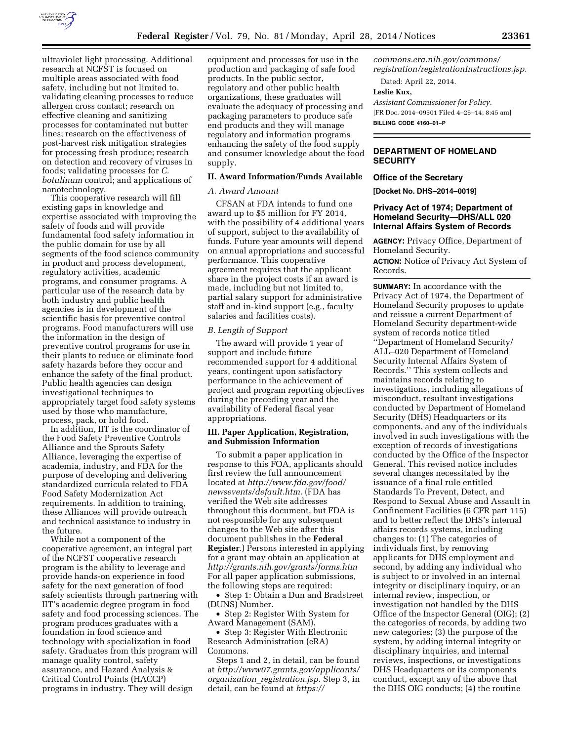

ultraviolet light processing. Additional research at NCFST is focused on multiple areas associated with food safety, including but not limited to, validating cleaning processes to reduce allergen cross contact; research on effective cleaning and sanitizing processes for contaminated nut butter lines; research on the effectiveness of post-harvest risk mitigation strategies for processing fresh produce; research on detection and recovery of viruses in foods; validating processes for *C. botulinum* control; and applications of nanotechnology.

This cooperative research will fill existing gaps in knowledge and expertise associated with improving the safety of foods and will provide fundamental food safety information in the public domain for use by all segments of the food science community in product and process development, regulatory activities, academic programs, and consumer programs. A particular use of the research data by both industry and public health agencies is in development of the scientific basis for preventive control programs. Food manufacturers will use the information in the design of preventive control programs for use in their plants to reduce or eliminate food safety hazards before they occur and enhance the safety of the final product. Public health agencies can design investigational techniques to appropriately target food safety systems used by those who manufacture, process, pack, or hold food.

In addition, IIT is the coordinator of the Food Safety Preventive Controls Alliance and the Sprouts Safety Alliance, leveraging the expertise of academia, industry, and FDA for the purpose of developing and delivering standardized curricula related to FDA Food Safety Modernization Act requirements. In addition to training, these Alliances will provide outreach and technical assistance to industry in the future.

While not a component of the cooperative agreement, an integral part of the NCFST cooperative research program is the ability to leverage and provide hands-on experience in food safety for the next generation of food safety scientists through partnering with IIT's academic degree program in food safety and food processing sciences. The program produces graduates with a foundation in food science and technology with specialization in food safety. Graduates from this program will manage quality control, safety assurance, and Hazard Analysis & Critical Control Points (HACCP) programs in industry. They will design

equipment and processes for use in the production and packaging of safe food products. In the public sector, regulatory and other public health organizations, these graduates will evaluate the adequacy of processing and packaging parameters to produce safe end products and they will manage regulatory and information programs enhancing the safety of the food supply and consumer knowledge about the food supply.

#### **II. Award Information/Funds Available**

## *A. Award Amount*

CFSAN at FDA intends to fund one award up to \$5 million for FY 2014, with the possibility of 4 additional years of support, subject to the availability of funds. Future year amounts will depend on annual appropriations and successful performance. This cooperative agreement requires that the applicant share in the project costs if an award is made, including but not limited to, partial salary support for administrative staff and in-kind support (e.g., faculty salaries and facilities costs).

## *B. Length of Support*

The award will provide 1 year of support and include future recommended support for 4 additional years, contingent upon satisfactory performance in the achievement of project and program reporting objectives during the preceding year and the availability of Federal fiscal year appropriations.

## **III. Paper Application, Registration, and Submission Information**

To submit a paper application in response to this FOA, applicants should first review the full announcement located at *[http://www.fda.gov/food/](http://www.fda.gov/food/newsevents/default.htm) [newsevents/default.htm.](http://www.fda.gov/food/newsevents/default.htm)* (FDA has verified the Web site addresses throughout this document, but FDA is not responsible for any subsequent changes to the Web site after this document publishes in the **Federal Register**.) Persons interested in applying for a grant may obtain an application at *<http://grants.nih.gov/grants/forms.htm>*  For all paper application submissions, the following steps are required:

• Step 1: Obtain a Dun and Bradstreet (DUNS) Number.

• Step 2: Register With System for Award Management (SAM).

• Step 3: Register With Electronic Research Administration (eRA) Commons.

Steps 1 and 2, in detail, can be found at *[http://www07.grants.gov/applicants/](http://www07.grants.gov/applicants/organization_registration.jsp) organization*\_*[registration.jsp.](http://www07.grants.gov/applicants/organization_registration.jsp)* Step 3, in detail, can be found at *[https://](https://commons.era.nih.gov/commons/registration/registrationInstructions.jsp)*

*[commons.era.nih.gov/commons/](https://commons.era.nih.gov/commons/registration/registrationInstructions.jsp) [registration/registrationInstructions.jsp.](https://commons.era.nih.gov/commons/registration/registrationInstructions.jsp)* 

Dated: April 22, 2014.

## **Leslie Kux,**

*Assistant Commissioner for Policy.*  [FR Doc. 2014–09501 Filed 4–25–14; 8:45 am] **BILLING CODE 4160–01–P** 

# **DEPARTMENT OF HOMELAND SECURITY**

#### **Office of the Secretary**

**[Docket No. DHS–2014–0019]** 

## **Privacy Act of 1974; Department of Homeland Security—DHS/ALL 020 Internal Affairs System of Records**

**AGENCY:** Privacy Office, Department of Homeland Security.

**ACTION:** Notice of Privacy Act System of Records.

**SUMMARY:** In accordance with the Privacy Act of 1974, the Department of Homeland Security proposes to update and reissue a current Department of Homeland Security department-wide system of records notice titled ''Department of Homeland Security/ ALL–020 Department of Homeland Security Internal Affairs System of Records.'' This system collects and maintains records relating to investigations, including allegations of misconduct, resultant investigations conducted by Department of Homeland Security (DHS) Headquarters or its components, and any of the individuals involved in such investigations with the exception of records of investigations conducted by the Office of the Inspector General. This revised notice includes several changes necessitated by the issuance of a final rule entitled Standards To Prevent, Detect, and Respond to Sexual Abuse and Assault in Confinement Facilities (6 CFR part 115) and to better reflect the DHS's internal affairs records systems, including changes to: (1) The categories of individuals first, by removing applicants for DHS employment and second, by adding any individual who is subject to or involved in an internal integrity or disciplinary inquiry, or an internal review, inspection, or investigation not handled by the DHS Office of the Inspector General (OIG); (2) the categories of records, by adding two new categories; (3) the purpose of the system, by adding internal integrity or disciplinary inquiries, and internal reviews, inspections, or investigations DHS Headquarters or its components conduct, except any of the above that the DHS OIG conducts; (4) the routine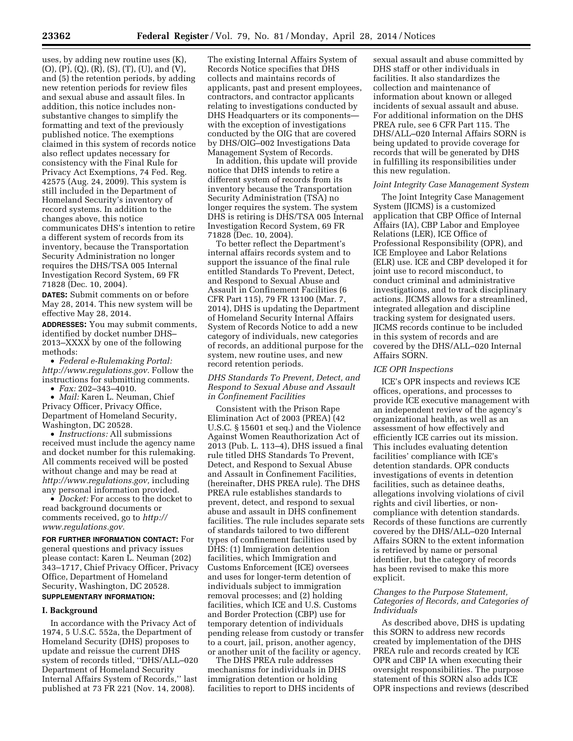uses, by adding new routine uses (K), (O), (P), (Q), (R), (S), (T), (U), and (V), and (5) the retention periods, by adding new retention periods for review files and sexual abuse and assault files. In addition, this notice includes nonsubstantive changes to simplify the formatting and text of the previously published notice. The exemptions claimed in this system of records notice also reflect updates necessary for consistency with the Final Rule for Privacy Act Exemptions, 74 Fed. Reg. 42575 (Aug. 24, 2009). This system is still included in the Department of Homeland Security's inventory of record systems. In addition to the changes above, this notice communicates DHS's intention to retire a different system of records from its inventory, because the Transportation Security Administration no longer requires the DHS/TSA 005 Internal Investigation Record System, 69 FR 71828 (Dec. 10, 2004).

**DATES:** Submit comments on or before May 28, 2014. This new system will be effective May 28, 2014.

**ADDRESSES:** You may submit comments, identified by docket number DHS– 2013–XXXX by one of the following methods:

• *Federal e-Rulemaking Portal: [http://www.regulations.gov.](http://www.regulations.gov)* Follow the instructions for submitting comments.

• *Fax:* 202–343–4010.

• *Mail:* Karen L. Neuman, Chief Privacy Officer, Privacy Office, Department of Homeland Security, Washington, DC 20528.

• *Instructions:* All submissions received must include the agency name and docket number for this rulemaking. All comments received will be posted without change and may be read at *[http://www.regulations.gov,](http://www.regulations.gov)* including any personal information provided.

• *Docket:* For access to the docket to read background documents or comments received, go to *[http://](http://www.regulations.gov) [www.regulations.gov.](http://www.regulations.gov)* 

**FOR FURTHER INFORMATION CONTACT:** For general questions and privacy issues please contact: Karen L. Neuman (202) 343–1717, Chief Privacy Officer, Privacy Office, Department of Homeland Security, Washington, DC 20528. **SUPPLEMENTARY INFORMATION:** 

#### **I. Background**

In accordance with the Privacy Act of 1974, 5 U.S.C. 552a, the Department of Homeland Security (DHS) proposes to update and reissue the current DHS system of records titled, ''DHS/ALL–020 Department of Homeland Security Internal Affairs System of Records,'' last published at 73 FR 221 (Nov. 14, 2008).

The existing Internal Affairs System of Records Notice specifies that DHS collects and maintains records of applicants, past and present employees, contractors, and contractor applicants relating to investigations conducted by DHS Headquarters or its components with the exception of investigations conducted by the OIG that are covered by DHS/OIG–002 Investigations Data Management System of Records.

In addition, this update will provide notice that DHS intends to retire a different system of records from its inventory because the Transportation Security Administration (TSA) no longer requires the system. The system DHS is retiring is DHS/TSA 005 Internal Investigation Record System, 69 FR 71828 (Dec. 10, 2004).

To better reflect the Department's internal affairs records system and to support the issuance of the final rule entitled Standards To Prevent, Detect, and Respond to Sexual Abuse and Assault in Confinement Facilities (6 CFR Part 115), 79 FR 13100 (Mar. 7, 2014), DHS is updating the Department of Homeland Security Internal Affairs System of Records Notice to add a new category of individuals, new categories of records, an additional purpose for the system, new routine uses, and new record retention periods.

## *DHS Standards To Prevent, Detect, and Respond to Sexual Abuse and Assault in Confinement Facilities*

Consistent with the Prison Rape Elimination Act of 2003 (PREA) (42 U.S.C. § 15601 et seq.) and the Violence Against Women Reauthorization Act of 2013 (Pub. L. 113–4), DHS issued a final rule titled DHS Standards To Prevent, Detect, and Respond to Sexual Abuse and Assault in Confinement Facilities, (hereinafter, DHS PREA rule). The DHS PREA rule establishes standards to prevent, detect, and respond to sexual abuse and assault in DHS confinement facilities. The rule includes separate sets of standards tailored to two different types of confinement facilities used by DHS: (1) Immigration detention facilities, which Immigration and Customs Enforcement (ICE) oversees and uses for longer-term detention of individuals subject to immigration removal processes; and (2) holding facilities, which ICE and U.S. Customs and Border Protection (CBP) use for temporary detention of individuals pending release from custody or transfer to a court, jail, prison, another agency, or another unit of the facility or agency.

The DHS PREA rule addresses mechanisms for individuals in DHS immigration detention or holding facilities to report to DHS incidents of

sexual assault and abuse committed by DHS staff or other individuals in facilities. It also standardizes the collection and maintenance of information about known or alleged incidents of sexual assault and abuse. For additional information on the DHS PREA rule, see 6 CFR Part 115. The DHS/ALL–020 Internal Affairs SORN is being updated to provide coverage for records that will be generated by DHS in fulfilling its responsibilities under this new regulation.

## *Joint Integrity Case Management System*

The Joint Integrity Case Management System (JICMS) is a customized application that CBP Office of Internal Affairs (IA), CBP Labor and Employee Relations (LER), ICE Office of Professional Responsibility (OPR), and ICE Employee and Labor Relations (ELR) use. ICE and CBP developed it for joint use to record misconduct, to conduct criminal and administrative investigations, and to track disciplinary actions. JICMS allows for a streamlined, integrated allegation and discipline tracking system for designated users. JICMS records continue to be included in this system of records and are covered by the DHS/ALL–020 Internal Affairs SORN.

#### *ICE OPR Inspections*

ICE's OPR inspects and reviews ICE offices, operations, and processes to provide ICE executive management with an independent review of the agency's organizational health, as well as an assessment of how effectively and efficiently ICE carries out its mission. This includes evaluating detention facilities' compliance with ICE's detention standards. OPR conducts investigations of events in detention facilities, such as detainee deaths, allegations involving violations of civil rights and civil liberties, or noncompliance with detention standards. Records of these functions are currently covered by the DHS/ALL–020 Internal Affairs SORN to the extent information is retrieved by name or personal identifier, but the category of records has been revised to make this more explicit.

## *Changes to the Purpose Statement, Categories of Records, and Categories of Individuals*

As described above, DHS is updating this SORN to address new records created by implementation of the DHS PREA rule and records created by ICE OPR and CBP IA when executing their oversight responsibilities. The purpose statement of this SORN also adds ICE OPR inspections and reviews (described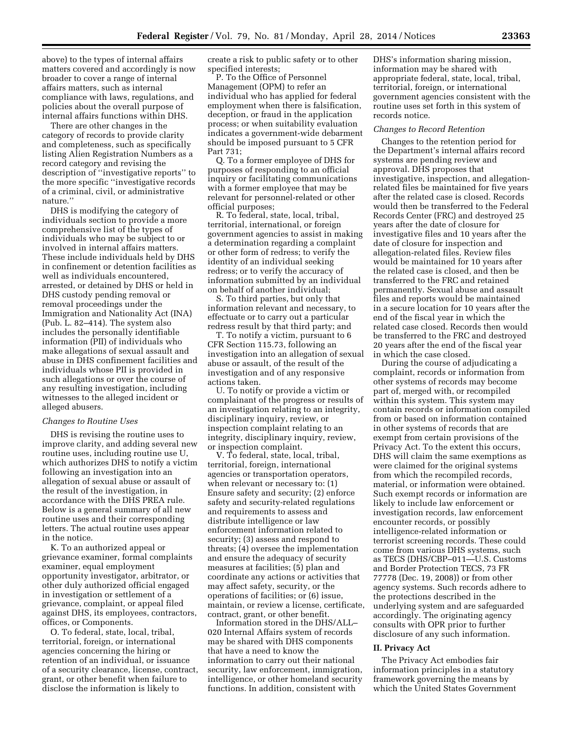above) to the types of internal affairs matters covered and accordingly is now broader to cover a range of internal affairs matters, such as internal compliance with laws, regulations, and policies about the overall purpose of internal affairs functions within DHS.

There are other changes in the category of records to provide clarity and completeness, such as specifically listing Alien Registration Numbers as a record category and revising the description of ''investigative reports'' to the more specific ''investigative records of a criminal, civil, or administrative nature.''

DHS is modifying the category of individuals section to provide a more comprehensive list of the types of individuals who may be subject to or involved in internal affairs matters. These include individuals held by DHS in confinement or detention facilities as well as individuals encountered, arrested, or detained by DHS or held in DHS custody pending removal or removal proceedings under the Immigration and Nationality Act (INA) (Pub. L. 82–414). The system also includes the personally identifiable information (PII) of individuals who make allegations of sexual assault and abuse in DHS confinement facilities and individuals whose PII is provided in such allegations or over the course of any resulting investigation, including witnesses to the alleged incident or alleged abusers.

#### *Changes to Routine Uses*

DHS is revising the routine uses to improve clarity, and adding several new routine uses, including routine use U, which authorizes DHS to notify a victim following an investigation into an allegation of sexual abuse or assault of the result of the investigation, in accordance with the DHS PREA rule. Below is a general summary of all new routine uses and their corresponding letters. The actual routine uses appear in the notice.

K. To an authorized appeal or grievance examiner, formal complaints examiner, equal employment opportunity investigator, arbitrator, or other duly authorized official engaged in investigation or settlement of a grievance, complaint, or appeal filed against DHS, its employees, contractors, offices, or Components.

O. To federal, state, local, tribal, territorial, foreign, or international agencies concerning the hiring or retention of an individual, or issuance of a security clearance, license, contract, grant, or other benefit when failure to disclose the information is likely to

create a risk to public safety or to other specified interests;

P. To the Office of Personnel Management (OPM) to refer an individual who has applied for federal employment when there is falsification, deception, or fraud in the application process; or when suitability evaluation indicates a government-wide debarment should be imposed pursuant to 5 CFR Part 731;

Q. To a former employee of DHS for purposes of responding to an official inquiry or facilitating communications with a former employee that may be relevant for personnel-related or other official purposes;

R. To federal, state, local, tribal, territorial, international, or foreign government agencies to assist in making a determination regarding a complaint or other form of redress; to verify the identity of an individual seeking redress; or to verify the accuracy of information submitted by an individual on behalf of another individual;

S. To third parties, but only that information relevant and necessary, to effectuate or to carry out a particular redress result by that third party; and

T. To notify a victim, pursuant to 6 CFR Section 115.73, following an investigation into an allegation of sexual abuse or assault, of the result of the investigation and of any responsive actions taken.

U. To notify or provide a victim or complainant of the progress or results of an investigation relating to an integrity, disciplinary inquiry, review, or inspection complaint relating to an integrity, disciplinary inquiry, review, or inspection complaint.

V. To federal, state, local, tribal, territorial, foreign, international agencies or transportation operators, when relevant or necessary to: (1) Ensure safety and security; (2) enforce safety and security-related regulations and requirements to assess and distribute intelligence or law enforcement information related to security; (3) assess and respond to threats; (4) oversee the implementation and ensure the adequacy of security measures at facilities; (5) plan and coordinate any actions or activities that may affect safety, security, or the operations of facilities; or (6) issue, maintain, or review a license, certificate, contract, grant, or other benefit.

Information stored in the DHS/ALL– 020 Internal Affairs system of records may be shared with DHS components that have a need to know the information to carry out their national security, law enforcement, immigration, intelligence, or other homeland security functions. In addition, consistent with

DHS's information sharing mission, information may be shared with appropriate federal, state, local, tribal, territorial, foreign, or international government agencies consistent with the routine uses set forth in this system of records notice.

#### *Changes to Record Retention*

Changes to the retention period for the Department's internal affairs record systems are pending review and approval. DHS proposes that investigative, inspection, and allegationrelated files be maintained for five years after the related case is closed. Records would then be transferred to the Federal Records Center (FRC) and destroyed 25 years after the date of closure for investigative files and 10 years after the date of closure for inspection and allegation-related files. Review files would be maintained for 10 years after the related case is closed, and then be transferred to the FRC and retained permanently. Sexual abuse and assault files and reports would be maintained in a secure location for 10 years after the end of the fiscal year in which the related case closed. Records then would be transferred to the FRC and destroyed 20 years after the end of the fiscal year in which the case closed.

During the course of adjudicating a complaint, records or information from other systems of records may become part of, merged with, or recompiled within this system. This system may contain records or information compiled from or based on information contained in other systems of records that are exempt from certain provisions of the Privacy Act. To the extent this occurs, DHS will claim the same exemptions as were claimed for the original systems from which the recompiled records, material, or information were obtained. Such exempt records or information are likely to include law enforcement or investigation records, law enforcement encounter records, or possibly intelligence-related information or terrorist screening records. These could come from various DHS systems, such as TECS (DHS/CBP–011—U.S. Customs and Border Protection TECS, 73 FR 77778 (Dec. 19, 2008)) or from other agency systems. Such records adhere to the protections described in the underlying system and are safeguarded accordingly. The originating agency consults with OPR prior to further disclosure of any such information.

#### **II. Privacy Act**

The Privacy Act embodies fair information principles in a statutory framework governing the means by which the United States Government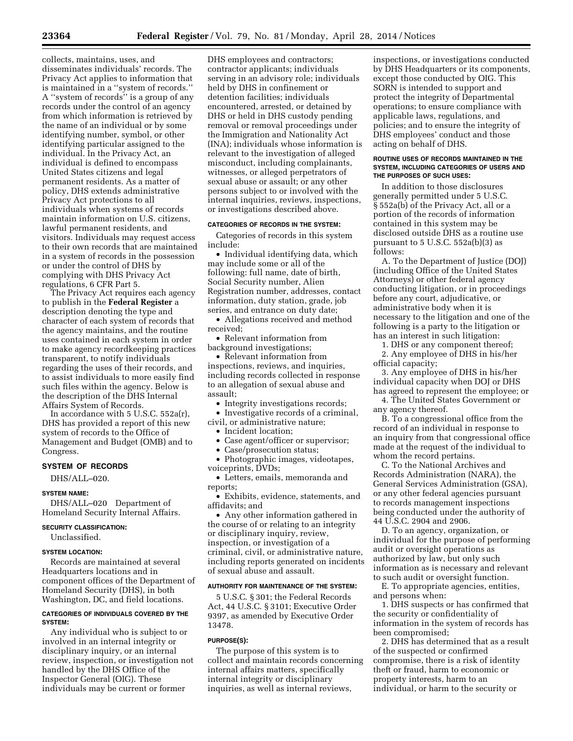collects, maintains, uses, and disseminates individuals' records. The Privacy Act applies to information that is maintained in a ''system of records.'' A ''system of records'' is a group of any records under the control of an agency from which information is retrieved by the name of an individual or by some identifying number, symbol, or other identifying particular assigned to the individual. In the Privacy Act, an individual is defined to encompass United States citizens and legal permanent residents. As a matter of policy, DHS extends administrative Privacy Act protections to all individuals when systems of records maintain information on U.S. citizens, lawful permanent residents, and visitors. Individuals may request access to their own records that are maintained in a system of records in the possession or under the control of DHS by complying with DHS Privacy Act regulations, 6 CFR Part 5.

The Privacy Act requires each agency to publish in the **Federal Register** a description denoting the type and character of each system of records that the agency maintains, and the routine uses contained in each system in order to make agency recordkeeping practices transparent, to notify individuals regarding the uses of their records, and to assist individuals to more easily find such files within the agency. Below is the description of the DHS Internal Affairs System of Records.

In accordance with 5 U.S.C. 552a(r), DHS has provided a report of this new system of records to the Office of Management and Budget (OMB) and to Congress.

### **SYSTEM OF RECORDS**

DHS/ALL–020.

### **SYSTEM NAME:**

DHS/ALL–020 Department of Homeland Security Internal Affairs.

## **SECURITY CLASSIFICATION:**

Unclassified.

## **SYSTEM LOCATION:**

Records are maintained at several Headquarters locations and in component offices of the Department of Homeland Security (DHS), in both Washington, DC, and field locations.

#### **CATEGORIES OF INDIVIDUALS COVERED BY THE SYSTEM:**

Any individual who is subject to or involved in an internal integrity or disciplinary inquiry, or an internal review, inspection, or investigation not handled by the DHS Office of the Inspector General (OIG). These individuals may be current or former

DHS employees and contractors; contractor applicants; individuals serving in an advisory role; individuals held by DHS in confinement or detention facilities; individuals encountered, arrested, or detained by DHS or held in DHS custody pending removal or removal proceedings under the Immigration and Nationality Act (INA); individuals whose information is relevant to the investigation of alleged misconduct, including complainants, witnesses, or alleged perpetrators of sexual abuse or assault; or any other persons subject to or involved with the internal inquiries, reviews, inspections, or investigations described above.

# **CATEGORIES OF RECORDS IN THE SYSTEM:**

Categories of records in this system include:

• Individual identifying data, which may include some or all of the following: full name, date of birth, Social Security number, Alien Registration number, addresses, contact information, duty station, grade, job series, and entrance on duty date;

• Allegations received and method received;

• Relevant information from background investigations;

• Relevant information from inspections, reviews, and inquiries, including records collected in response to an allegation of sexual abuse and assault;

• Integrity investigations records;

• Investigative records of a criminal, civil, or administrative nature;

• Incident location;

- Case agent/officer or supervisor;
- Case/prosecution status;
- Photographic images, videotapes, voiceprints, DVDs;

• Letters, emails, memoranda and reports;

• Exhibits, evidence, statements, and affidavits; and

• Any other information gathered in the course of or relating to an integrity or disciplinary inquiry, review, inspection, or investigation of a criminal, civil, or administrative nature, including reports generated on incidents of sexual abuse and assault.

#### **AUTHORITY FOR MAINTENANCE OF THE SYSTEM:**

5 U.S.C. § 301; the Federal Records Act, 44 U.S.C. § 3101; Executive Order 9397, as amended by Executive Order 13478.

# **PURPOSE(S):**

The purpose of this system is to collect and maintain records concerning internal affairs matters, specifically internal integrity or disciplinary inquiries, as well as internal reviews,

inspections, or investigations conducted by DHS Headquarters or its components, except those conducted by OIG. This SORN is intended to support and protect the integrity of Departmental operations; to ensure compliance with applicable laws, regulations, and policies; and to ensure the integrity of DHS employees' conduct and those acting on behalf of DHS.

#### **ROUTINE USES OF RECORDS MAINTAINED IN THE SYSTEM, INCLUDING CATEGORIES OF USERS AND THE PURPOSES OF SUCH USES:**

In addition to those disclosures generally permitted under 5 U.S.C. § 552a(b) of the Privacy Act, all or a portion of the records of information contained in this system may be disclosed outside DHS as a routine use pursuant to 5 U.S.C. 552a(b)(3) as follows:

A. To the Department of Justice (DOJ) (including Office of the United States Attorneys) or other federal agency conducting litigation, or in proceedings before any court, adjudicative, or administrative body when it is necessary to the litigation and one of the following is a party to the litigation or has an interest in such litigation:

1. DHS or any component thereof;

2. Any employee of DHS in his/her official capacity;

3. Any employee of DHS in his/her individual capacity when DOJ or DHS has agreed to represent the employee; or

4. The United States Government or any agency thereof.

B. To a congressional office from the record of an individual in response to an inquiry from that congressional office made at the request of the individual to whom the record pertains.

C. To the National Archives and Records Administration (NARA), the General Services Administration (GSA), or any other federal agencies pursuant to records management inspections being conducted under the authority of 44 U.S.C. 2904 and 2906.

D. To an agency, organization, or individual for the purpose of performing audit or oversight operations as authorized by law, but only such information as is necessary and relevant to such audit or oversight function.

E. To appropriate agencies, entities, and persons when:

1. DHS suspects or has confirmed that the security or confidentiality of information in the system of records has been compromised;

2. DHS has determined that as a result of the suspected or confirmed compromise, there is a risk of identity theft or fraud, harm to economic or property interests, harm to an individual, or harm to the security or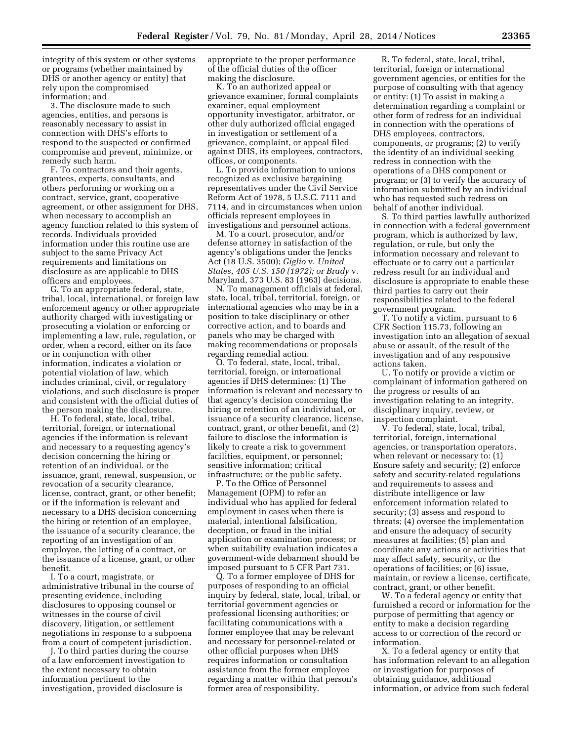integrity of this system or other systems or programs (whether maintained by DHS or another agency or entity) that rely upon the compromised information; and

3. The disclosure made to such agencies, entities, and persons is reasonably necessary to assist in connection with DHS's efforts to respond to the suspected or confirmed compromise and prevent, minimize, or remedy such harm.

F. To contractors and their agents, grantees, experts, consultants, and others performing or working on a contract, service, grant, cooperative agreement, or other assignment for DHS, when necessary to accomplish an agency function related to this system of records. Individuals provided information under this routine use are subject to the same Privacy Act requirements and limitations on disclosure as are applicable to DHS officers and employees.

G. To an appropriate federal, state, tribal, local, international, or foreign law enforcement agency or other appropriate authority charged with investigating or prosecuting a violation or enforcing or implementing a law, rule, regulation, or order, when a record, either on its face or in conjunction with other information, indicates a violation or potential violation of law, which includes criminal, civil, or regulatory violations, and such disclosure is proper and consistent with the official duties of the person making the disclosure.

H. To federal, state, local, tribal, territorial, foreign, or international agencies if the information is relevant and necessary to a requesting agency's decision concerning the hiring or retention of an individual, or the issuance, grant, renewal, suspension, or revocation of a security clearance, license, contract, grant, or other benefit; or if the information is relevant and necessary to a DHS decision concerning the hiring or retention of an employee, the issuance of a security clearance, the reporting of an investigation of an employee, the letting of a contract, or the issuance of a license, grant, or other benefit.

I. To a court, magistrate, or administrative tribunal in the course of presenting evidence, including disclosures to opposing counsel or witnesses in the course of civil discovery, litigation, or settlement negotiations in response to a subpoena from a court of competent jurisdiction.

J. To third parties during the course of a law enforcement investigation to the extent necessary to obtain information pertinent to the investigation, provided disclosure is

appropriate to the proper performance of the official duties of the officer making the disclosure.

K. To an authorized appeal or grievance examiner, formal complaints examiner, equal employment opportunity investigator, arbitrator, or other duly authorized official engaged in investigation or settlement of a grievance, complaint, or appeal filed against DHS, its employees, contractors, offices, or components.

L. To provide information to unions recognized as exclusive bargaining representatives under the Civil Service Reform Act of 1978, 5 U.S.C. 7111 and 7114, and in circumstances when union officials represent employees in investigations and personnel actions.

M. To a court, prosecutor, and/or defense attorney in satisfaction of the agency's obligations under the Jencks Act (18 U.S. 3500); *Giglio* v. *United States, 405 U.S. 150 (1972); or Brady* v. Maryland, 373 U.S. 83 (1963) decisions.

N. To management officials at federal, state, local, tribal, territorial, foreign, or international agencies who may be in a position to take disciplinary or other corrective action, and to boards and panels who may be charged with making recommendations or proposals regarding remedial action.

O. To federal, state, local, tribal, territorial, foreign, or international agencies if DHS determines: (1) The information is relevant and necessary to that agency's decision concerning the hiring or retention of an individual, or issuance of a security clearance, license, contract, grant, or other benefit, and (2) failure to disclose the information is likely to create a risk to government facilities, equipment, or personnel; sensitive information; critical infrastructure; or the public safety.

P. To the Office of Personnel Management (OPM) to refer an individual who has applied for federal employment in cases when there is material, intentional falsification, deception, or fraud in the initial application or examination process; or when suitability evaluation indicates a government-wide debarment should be imposed pursuant to 5 CFR Part 731.

Q. To a former employee of DHS for purposes of responding to an official inquiry by federal, state, local, tribal, or territorial government agencies or professional licensing authorities; or facilitating communications with a former employee that may be relevant and necessary for personnel-related or other official purposes when DHS requires information or consultation assistance from the former employee regarding a matter within that person's former area of responsibility.

R. To federal, state, local, tribal, territorial, foreign or international government agencies, or entities for the purpose of consulting with that agency or entity: (1) To assist in making a determination regarding a complaint or other form of redress for an individual in connection with the operations of DHS employees, contractors, components, or programs; (2) to verify the identity of an individual seeking redress in connection with the operations of a DHS component or program; or (3) to verify the accuracy of information submitted by an individual who has requested such redress on behalf of another individual.

S. To third parties lawfully authorized in connection with a federal government program, which is authorized by law, regulation, or rule, but only the information necessary and relevant to effectuate or to carry out a particular redress result for an individual and disclosure is appropriate to enable these third parties to carry out their responsibilities related to the federal government program.

T. To notify a victim, pursuant to 6 CFR Section 115.73, following an investigation into an allegation of sexual abuse or assault, of the result of the investigation and of any responsive actions taken.

U. To notify or provide a victim or complainant of information gathered on the progress or results of an investigation relating to an integrity, disciplinary inquiry, review, or inspection complaint.

V. To federal, state, local, tribal, territorial, foreign, international agencies, or transportation operators, when relevant or necessary to: (1) Ensure safety and security; (2) enforce safety and security-related regulations and requirements to assess and distribute intelligence or law enforcement information related to security; (3) assess and respond to threats; (4) oversee the implementation and ensure the adequacy of security measures at facilities; (5) plan and coordinate any actions or activities that may affect safety, security, or the operations of facilities; or (6) issue, maintain, or review a license, certificate, contract, grant, or other benefit.

W. To a federal agency or entity that furnished a record or information for the purpose of permitting that agency or entity to make a decision regarding access to or correction of the record or information.

X. To a federal agency or entity that has information relevant to an allegation or investigation for purposes of obtaining guidance, additional information, or advice from such federal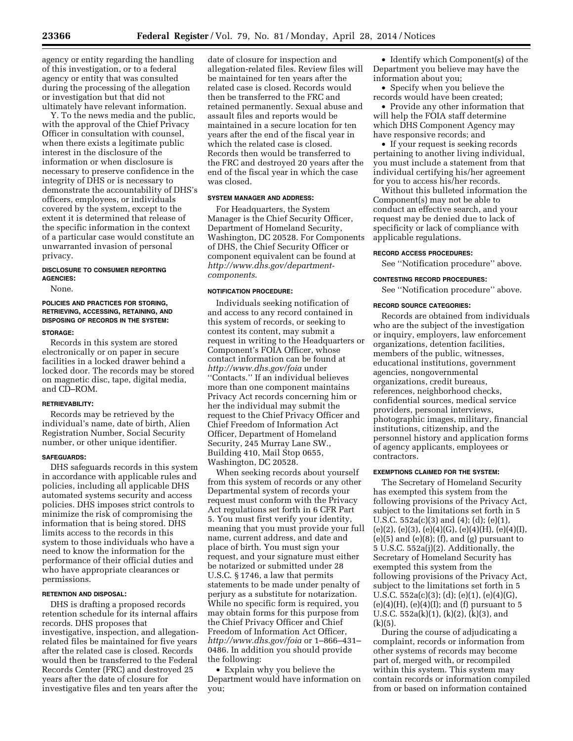agency or entity regarding the handling of this investigation, or to a federal agency or entity that was consulted during the processing of the allegation or investigation but that did not ultimately have relevant information.

Y. To the news media and the public, with the approval of the Chief Privacy Officer in consultation with counsel, when there exists a legitimate public interest in the disclosure of the information or when disclosure is necessary to preserve confidence in the integrity of DHS or is necessary to demonstrate the accountability of DHS's officers, employees, or individuals covered by the system, except to the extent it is determined that release of the specific information in the context of a particular case would constitute an unwarranted invasion of personal privacy.

### **DISCLOSURE TO CONSUMER REPORTING AGENCIES:**

None.

# **POLICIES AND PRACTICES FOR STORING, RETRIEVING, ACCESSING, RETAINING, AND DISPOSING OF RECORDS IN THE SYSTEM:**

#### **STORAGE:**

Records in this system are stored electronically or on paper in secure facilities in a locked drawer behind a locked door. The records may be stored on magnetic disc, tape, digital media, and CD–ROM.

#### **RETRIEVABILITY:**

Records may be retrieved by the individual's name, date of birth, Alien Registration Number, Social Security number, or other unique identifier.

## **SAFEGUARDS:**

DHS safeguards records in this system in accordance with applicable rules and policies, including all applicable DHS automated systems security and access policies. DHS imposes strict controls to minimize the risk of compromising the information that is being stored. DHS limits access to the records in this system to those individuals who have a need to know the information for the performance of their official duties and who have appropriate clearances or permissions.

### **RETENTION AND DISPOSAL:**

DHS is drafting a proposed records retention schedule for its internal affairs records. DHS proposes that investigative, inspection, and allegationrelated files be maintained for five years after the related case is closed. Records would then be transferred to the Federal Records Center (FRC) and destroyed 25 years after the date of closure for investigative files and ten years after the

date of closure for inspection and allegation-related files. Review files will be maintained for ten years after the related case is closed. Records would then be transferred to the FRC and retained permanently. Sexual abuse and assault files and reports would be maintained in a secure location for ten years after the end of the fiscal year in which the related case is closed. Records then would be transferred to the FRC and destroyed 20 years after the end of the fiscal year in which the case was closed.

#### **SYSTEM MANAGER AND ADDRESS:**

For Headquarters, the System Manager is the Chief Security Officer, Department of Homeland Security, Washington, DC 20528. For Components of DHS, the Chief Security Officer or component equivalent can be found at *http://www.dhs.gov/departmentcomponents*.

## **NOTIFICATION PROCEDURE:**

Individuals seeking notification of and access to any record contained in this system of records, or seeking to contest its content, may submit a request in writing to the Headquarters or Component's FOIA Officer, whose contact information can be found at *<http://www.dhs.gov/foia>*under ''Contacts.'' If an individual believes more than one component maintains Privacy Act records concerning him or her the individual may submit the request to the Chief Privacy Officer and Chief Freedom of Information Act Officer, Department of Homeland Security, 245 Murray Lane SW., Building 410, Mail Stop 0655, Washington, DC 20528.

When seeking records about yourself from this system of records or any other Departmental system of records your request must conform with the Privacy Act regulations set forth in 6 CFR Part 5. You must first verify your identity, meaning that you must provide your full name, current address, and date and place of birth. You must sign your request, and your signature must either be notarized or submitted under 28 U.S.C. § 1746, a law that permits statements to be made under penalty of perjury as a substitute for notarization. While no specific form is required, you may obtain forms for this purpose from the Chief Privacy Officer and Chief Freedom of Information Act Officer, *<http://www.dhs.gov/foia>*or 1–866–431– 0486. In addition you should provide the following:

• Explain why you believe the Department would have information on you;

• Identify which Component(s) of the Department you believe may have the information about you;

• Specify when you believe the records would have been created;

• Provide any other information that will help the FOIA staff determine which DHS Component Agency may have responsive records; and

• If your request is seeking records pertaining to another living individual, you must include a statement from that individual certifying his/her agreement for you to access his/her records.

Without this bulleted information the Component(s) may not be able to conduct an effective search, and your request may be denied due to lack of specificity or lack of compliance with applicable regulations.

#### **RECORD ACCESS PROCEDURES:**

See ''Notification procedure'' above.

#### **CONTESTING RECORD PROCEDURES:**

See ''Notification procedure'' above.

#### **RECORD SOURCE CATEGORIES:**

Records are obtained from individuals who are the subject of the investigation or inquiry, employers, law enforcement organizations, detention facilities, members of the public, witnesses, educational institutions, government agencies, nongovernmental organizations, credit bureaus, references, neighborhood checks, confidential sources, medical service providers, personal interviews, photographic images, military, financial institutions, citizenship, and the personnel history and application forms of agency applicants, employees or contractors.

#### **EXEMPTIONS CLAIMED FOR THE SYSTEM:**

The Secretary of Homeland Security has exempted this system from the following provisions of the Privacy Act, subject to the limitations set forth in 5 U.S.C. 552a(c)(3) and (4); (d); (e)(1),  $(e)(2), (e)(3), (e)(4)(G), (e)(4)(H), (e)(4)(I),$  $(e)(5)$  and  $(e)(8)$ ;  $(f)$ , and  $(g)$  pursuant to 5 U.S.C. 552a(j)(2). Additionally, the Secretary of Homeland Security has exempted this system from the following provisions of the Privacy Act, subject to the limitations set forth in 5 U.S.C. 552a(c)(3); (d); (e)(1), (e)(4)(G),  $(e)(4)(H)$ ,  $(e)(4)(I)$ ; and  $(f)$  pursuant to 5 U.S.C. 552a(k)(1), (k)(2), (k)(3), and  $(k)(5)$ .

During the course of adjudicating a complaint, records or information from other systems of records may become part of, merged with, or recompiled within this system. This system may contain records or information compiled from or based on information contained